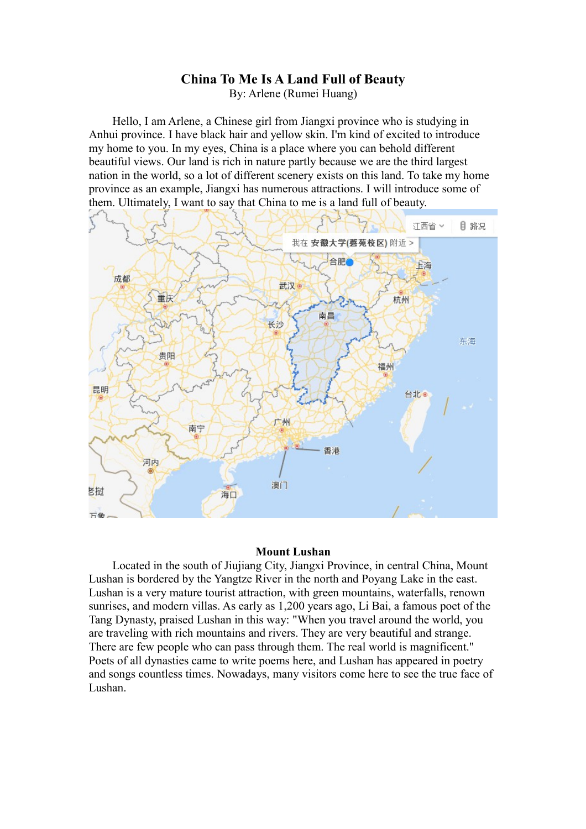## **China To Me Is A Land Full of Beauty**

By: Arlene (Rumei Huang)

Hello, I am Arlene, a Chinese girl from Jiangxi province who is studying in Anhui province. I have black hair and yellow skin. I'm kind of excited to introduce my home to you. In my eyes, China is a place where you can behold different beautiful views. Our land is rich in nature partly because we are the third largest nation in the world, so a lot of different scenery exists on this land. To take my home province as an example, Jiangxi has numerous attractions. I will introduce some of them. Ultimately, I want to say that China to me is a land full of beauty.



## **Mount Lushan**

Located in the south of Jiujiang City, Jiangxi Province, in central China, Mount Lushan is bordered by the Yangtze River in the north and Poyang Lake in the east. Lushan is a very mature tourist attraction, with green mountains, waterfalls, renown sunrises, and modern villas. As early as 1,200 years ago, Li Bai, a famous poet of the Tang Dynasty, praised Lushan in this way: "When you travel around the world, you are traveling with rich mountains and rivers. They are very beautiful and strange. There are few people who can pass through them. The real world is magnificent." Poets of all dynasties came to write poems here, and Lushan has appeared in poetry and songs countless times. Nowadays, many visitors come here to see the true face of Lushan.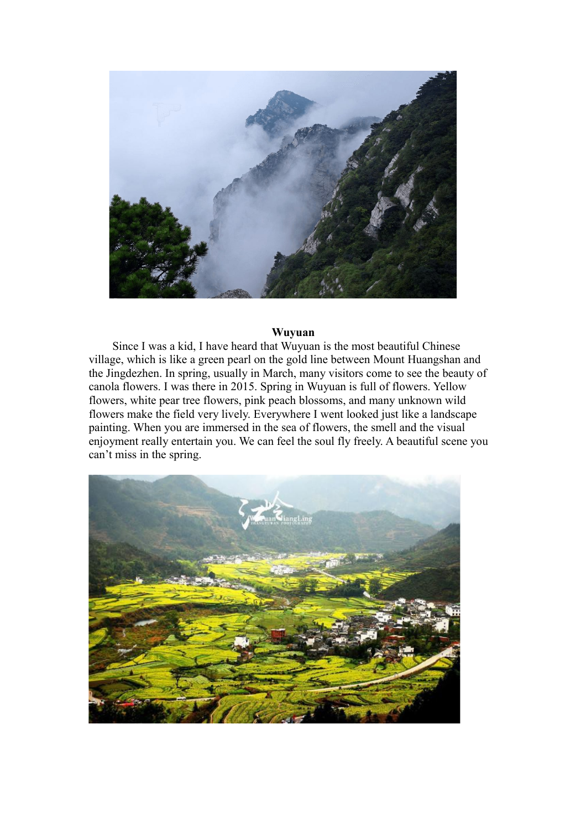

## **Wuyuan**

Since I was a kid, I have heard that Wuyuan is the most beautiful Chinese village, which is like a green pearl on the gold line between Mount Huangshan and the Jingdezhen. In spring, usually in March, many visitors come to see the beauty of canola flowers. I was there in 2015. Spring in Wuyuan is full of flowers. Yellow flowers, white pear tree flowers, pink peach blossoms, and many unknown wild flowers make the field very lively. Everywhere I went looked just like a landscape painting. When you are immersed in the sea of flowers, the smell and the visual enjoyment really entertain you. We can feel the soul fly freely. A beautiful scene you can't miss in the spring.